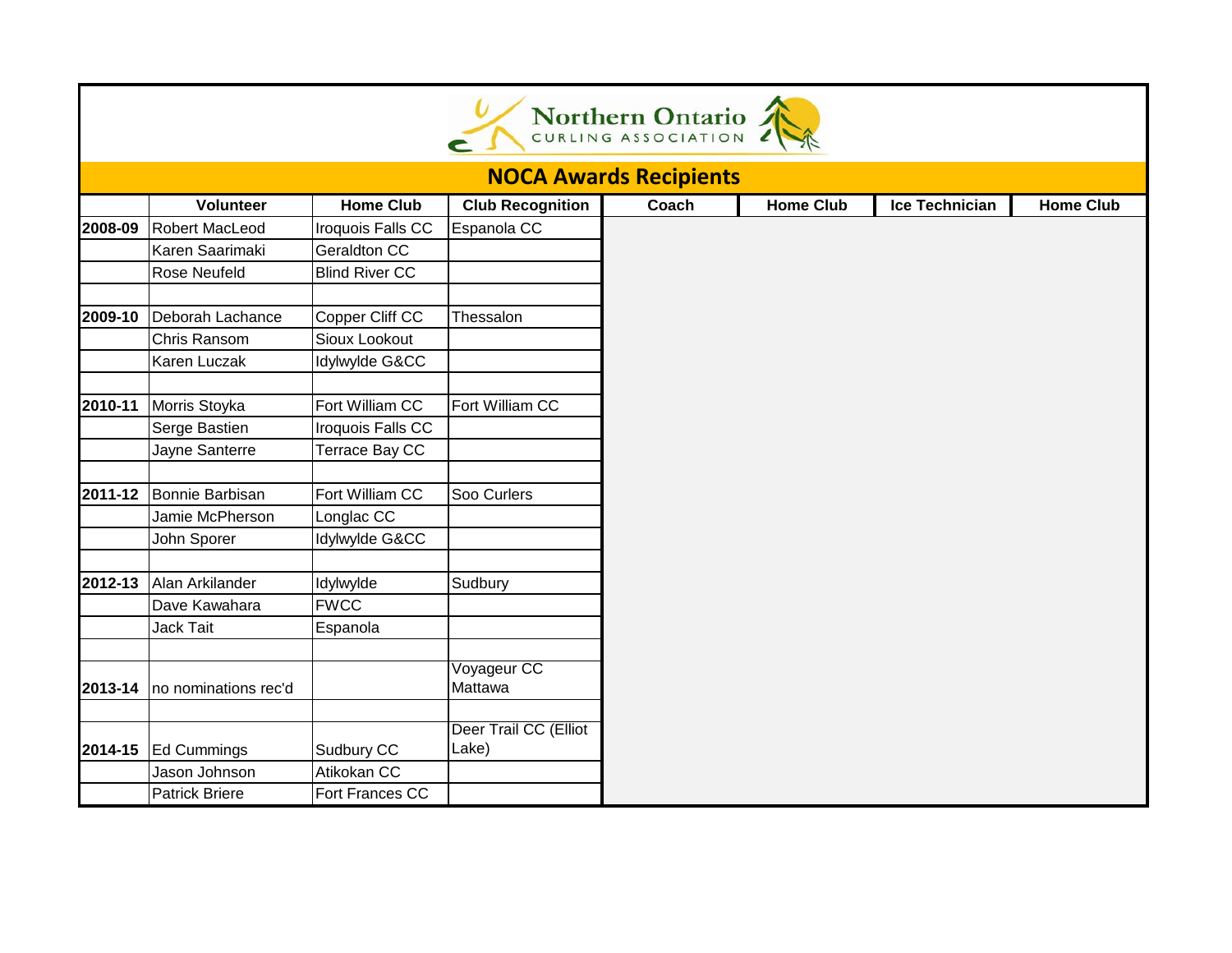| Northern Ontario              |                       |                       |                                |       |                  |                |                  |  |  |  |  |  |
|-------------------------------|-----------------------|-----------------------|--------------------------------|-------|------------------|----------------|------------------|--|--|--|--|--|
| <b>NOCA Awards Recipients</b> |                       |                       |                                |       |                  |                |                  |  |  |  |  |  |
|                               | Volunteer             | <b>Home Club</b>      | <b>Club Recognition</b>        | Coach | <b>Home Club</b> | Ice Technician | <b>Home Club</b> |  |  |  |  |  |
| 2008-09                       | <b>Robert MacLeod</b> | Iroquois Falls CC     | Espanola CC                    |       |                  |                |                  |  |  |  |  |  |
|                               | Karen Saarimaki       | Geraldton CC          |                                |       |                  |                |                  |  |  |  |  |  |
|                               | Rose Neufeld          | <b>Blind River CC</b> |                                |       |                  |                |                  |  |  |  |  |  |
| 2009-10                       | Deborah Lachance      | Copper Cliff CC       | Thessalon                      |       |                  |                |                  |  |  |  |  |  |
|                               | Chris Ransom          | Sioux Lookout         |                                |       |                  |                |                  |  |  |  |  |  |
|                               | Karen Luczak          | Idylwylde G&CC        |                                |       |                  |                |                  |  |  |  |  |  |
| 2010-11                       | Morris Stoyka         | Fort William CC       | Fort William CC                |       |                  |                |                  |  |  |  |  |  |
|                               | Serge Bastien         | Iroquois Falls CC     |                                |       |                  |                |                  |  |  |  |  |  |
|                               | Jayne Santerre        | Terrace Bay CC        |                                |       |                  |                |                  |  |  |  |  |  |
| 2011-12                       | Bonnie Barbisan       | Fort William CC       | Soo Curlers                    |       |                  |                |                  |  |  |  |  |  |
|                               | Jamie McPherson       | Longlac CC            |                                |       |                  |                |                  |  |  |  |  |  |
|                               | John Sporer           | Idylwylde G&CC        |                                |       |                  |                |                  |  |  |  |  |  |
| 2012-13                       | Alan Arkilander       | Idylwylde             | Sudbury                        |       |                  |                |                  |  |  |  |  |  |
|                               | Dave Kawahara         | <b>FWCC</b>           |                                |       |                  |                |                  |  |  |  |  |  |
|                               | Jack Tait             | Espanola              |                                |       |                  |                |                  |  |  |  |  |  |
| 2013-14                       | no nominations rec'd  |                       | Voyageur CC<br>Mattawa         |       |                  |                |                  |  |  |  |  |  |
| 2014-15                       | <b>Ed Cummings</b>    | Sudbury CC            | Deer Trail CC (Elliot<br>Lake) |       |                  |                |                  |  |  |  |  |  |
|                               | Jason Johnson         | Atikokan CC           |                                |       |                  |                |                  |  |  |  |  |  |
|                               | <b>Patrick Briere</b> | Fort Frances CC       |                                |       |                  |                |                  |  |  |  |  |  |